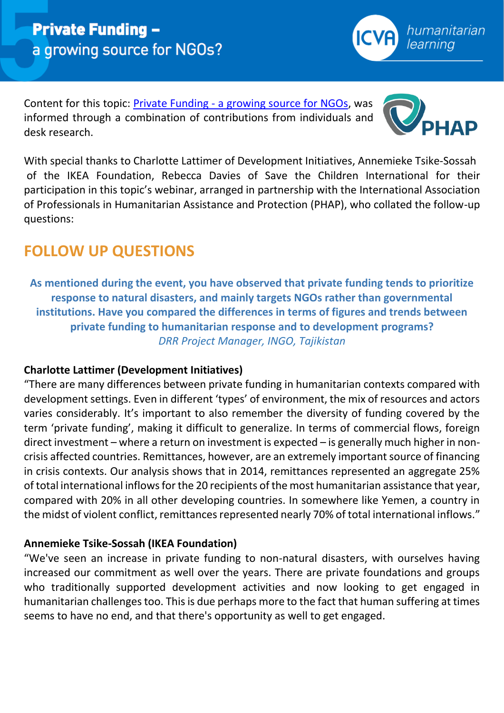Content for this topic: Private Funding - [a growing source for NGOs,](https://www.icvanetwork.org/topic-five-private-funding-growing-source-ngos) was informed through a combination of contributions from individuals and desk research.

With special thanks to Charlotte Lattimer of Development Initiatives, Annemieke Tsike-Sossah of the IKEA Foundation, Rebecca Davies of Save the Children International for their participation in this topic's webinar, arranged in partnership with the International Association of Professionals in Humanitarian Assistance and Protection (PHAP), who collated the follow-up questions:

# **FOLLOW UP QUESTIONS**

**As mentioned during the event, you have observed that private funding tends to prioritize response to natural disasters, and mainly targets NGOs rather than governmental institutions. Have you compared the differences in terms of figures and trends between private funding to humanitarian response and to development programs?** *DRR Project Manager, INGO, Tajikistan*

# **Charlotte Lattimer (Development Initiatives)**

"There are many differences between private funding in humanitarian contexts compared with development settings. Even in different 'types' of environment, the mix of resources and actors varies considerably. It's important to also remember the diversity of funding covered by the term 'private funding', making it difficult to generalize. In terms of commercial flows, foreign direct investment – where a return on investment is expected – is generally much higher in noncrisis affected countries. Remittances, however, are an extremely important source of financing in crisis contexts. Our analysis shows that in 2014, remittances represented an aggregate 25% of total international inflows for the 20 recipients of the most humanitarian assistance that year, compared with 20% in all other developing countries. In somewhere like Yemen, a country in the midst of violent conflict, remittances represented nearly 70% of total international inflows."

# **Annemieke Tsike-Sossah (IKEA Foundation)**

"We've seen an increase in private funding to non-natural disasters, with ourselves having increased our commitment as well over the years. There are private foundations and groups who traditionally supported development activities and now looking to get engaged in humanitarian challenges too. This is due perhaps more to the fact that human suffering at times seems to have no end, and that there's opportunity as well to get engaged.



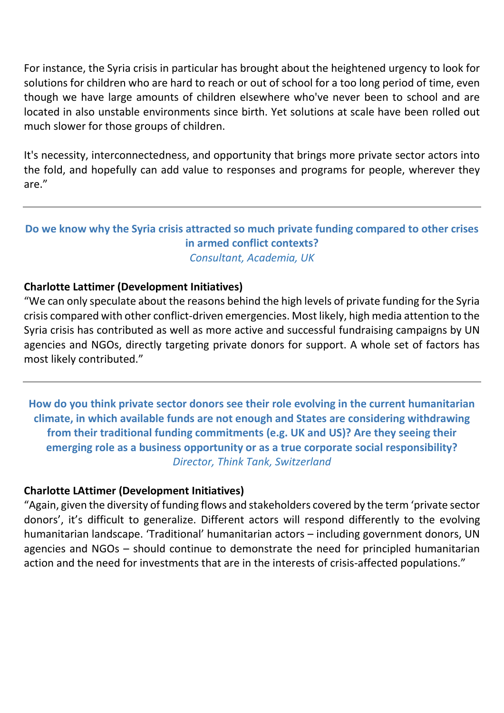For instance, the Syria crisis in particular has brought about the heightened urgency to look for solutions for children who are hard to reach or out of school for a too long period of time, even though we have large amounts of children elsewhere who've never been to school and are located in also unstable environments since birth. Yet solutions at scale have been rolled out much slower for those groups of children.

It's necessity, interconnectedness, and opportunity that brings more private sector actors into the fold, and hopefully can add value to responses and programs for people, wherever they are."

## **Do we know why the Syria crisis attracted so much private funding compared to other crises in armed conflict contexts?** *Consultant, Academia, UK*

## **Charlotte Lattimer (Development Initiatives)**

"We can only speculate about the reasons behind the high levels of private funding for the Syria crisis compared with other conflict-driven emergencies. Most likely, high media attention to the Syria crisis has contributed as well as more active and successful fundraising campaigns by UN agencies and NGOs, directly targeting private donors for support. A whole set of factors has most likely contributed."

**How do you think private sector donors see their role evolving in the current humanitarian climate, in which available funds are not enough and States are considering withdrawing from their traditional funding commitments (e.g. UK and US)? Are they seeing their emerging role as a business opportunity or as a true corporate social responsibility?** *Director, Think Tank, Switzerland*

## **Charlotte LAttimer (Development Initiatives)**

"Again, given the diversity of funding flows and stakeholders covered by the term 'private sector donors', it's difficult to generalize. Different actors will respond differently to the evolving humanitarian landscape. 'Traditional' humanitarian actors – including government donors, UN agencies and NGOs – should continue to demonstrate the need for principled humanitarian action and the need for investments that are in the interests of crisis-affected populations."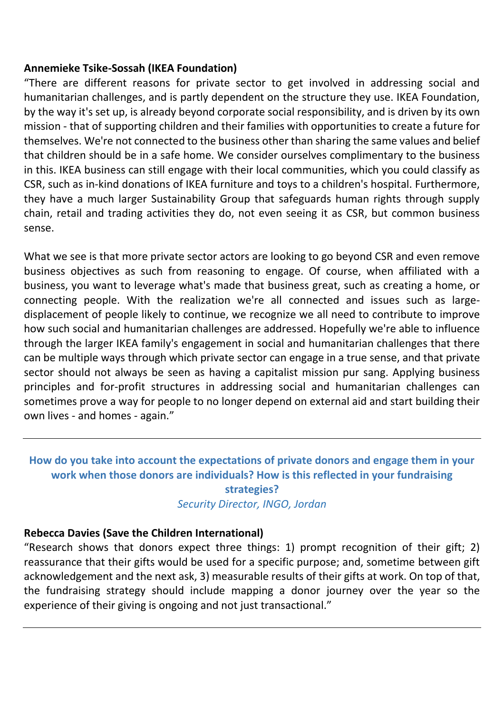#### **Annemieke Tsike-Sossah (IKEA Foundation)**

"There are different reasons for private sector to get involved in addressing social and humanitarian challenges, and is partly dependent on the structure they use. IKEA Foundation, by the way it's set up, is already beyond corporate social responsibility, and is driven by its own mission - that of supporting children and their families with opportunities to create a future for themselves. We're not connected to the business other than sharing the same values and belief that children should be in a safe home. We consider ourselves complimentary to the business in this. IKEA business can still engage with their local communities, which you could classify as CSR, such as in-kind donations of IKEA furniture and toys to a children's hospital. Furthermore, they have a much larger Sustainability Group that safeguards human rights through supply chain, retail and trading activities they do, not even seeing it as CSR, but common business sense.

What we see is that more private sector actors are looking to go beyond CSR and even remove business objectives as such from reasoning to engage. Of course, when affiliated with a business, you want to leverage what's made that business great, such as creating a home, or connecting people. With the realization we're all connected and issues such as largedisplacement of people likely to continue, we recognize we all need to contribute to improve how such social and humanitarian challenges are addressed. Hopefully we're able to influence through the larger IKEA family's engagement in social and humanitarian challenges that there can be multiple ways through which private sector can engage in a true sense, and that private sector should not always be seen as having a capitalist mission pur sang. Applying business principles and for-profit structures in addressing social and humanitarian challenges can sometimes prove a way for people to no longer depend on external aid and start building their own lives - and homes - again."

## **How do you take into account the expectations of private donors and engage them in your work when those donors are individuals? How is this reflected in your fundraising strategies?** *Security Director, INGO, Jordan*

## **Rebecca Davies (Save the Children International)**

"Research shows that donors expect three things: 1) prompt recognition of their gift; 2) reassurance that their gifts would be used for a specific purpose; and, sometime between gift acknowledgement and the next ask, 3) measurable results of their gifts at work. On top of that, the fundraising strategy should include mapping a donor journey over the year so the experience of their giving is ongoing and not just transactional."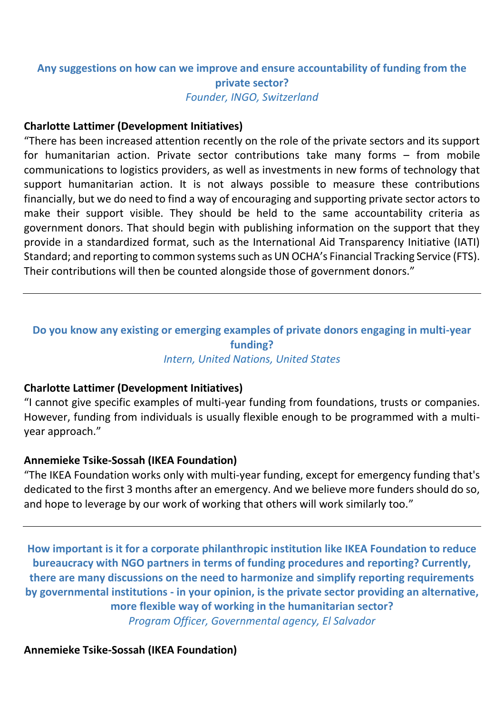## **Any suggestions on how can we improve and ensure accountability of funding from the private sector?** *Founder, INGO, Switzerland*

#### **Charlotte Lattimer (Development Initiatives)**

"There has been increased attention recently on the role of the private sectors and its support for humanitarian action. Private sector contributions take many forms – from mobile communications to logistics providers, as well as investments in new forms of technology that support humanitarian action. It is not always possible to measure these contributions financially, but we do need to find a way of encouraging and supporting private sector actors to make their support visible. They should be held to the same accountability criteria as government donors. That should begin with publishing information on the support that they provide in a standardized format, such as the International Aid Transparency Initiative (IATI) Standard; and reporting to common systems such as UN OCHA's Financial Tracking Service (FTS). Their contributions will then be counted alongside those of government donors."

#### **Do you know any existing or emerging examples of private donors engaging in multi-year funding?** *Intern, United Nations, United States*

#### **Charlotte Lattimer (Development Initiatives)**

"I cannot give specific examples of multi-year funding from foundations, trusts or companies. However, funding from individuals is usually flexible enough to be programmed with a multiyear approach."

#### **Annemieke Tsike-Sossah (IKEA Foundation)**

"The IKEA Foundation works only with multi-year funding, except for emergency funding that's dedicated to the first 3 months after an emergency. And we believe more funders should do so, and hope to leverage by our work of working that others will work similarly too."

**How important is it for a corporate philanthropic institution like IKEA Foundation to reduce bureaucracy with NGO partners in terms of funding procedures and reporting? Currently, there are many discussions on the need to harmonize and simplify reporting requirements by governmental institutions - in your opinion, is the private sector providing an alternative, more flexible way of working in the humanitarian sector?** *Program Officer, Governmental agency, El Salvador*

**Annemieke Tsike-Sossah (IKEA Foundation)**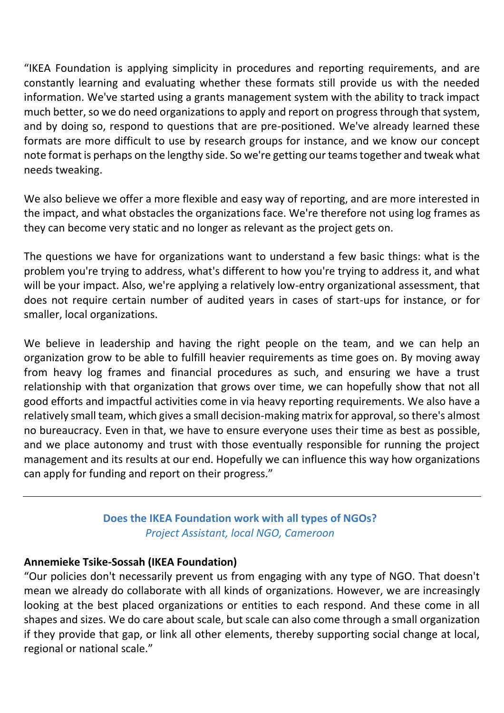"IKEA Foundation is applying simplicity in procedures and reporting requirements, and are constantly learning and evaluating whether these formats still provide us with the needed information. We've started using a grants management system with the ability to track impact much better, so we do need organizations to apply and report on progress through that system, and by doing so, respond to questions that are pre-positioned. We've already learned these formats are more difficult to use by research groups for instance, and we know our concept note format is perhaps on the lengthy side. So we're getting our teams together and tweak what needs tweaking.

We also believe we offer a more flexible and easy way of reporting, and are more interested in the impact, and what obstacles the organizations face. We're therefore not using log frames as they can become very static and no longer as relevant as the project gets on.

The questions we have for organizations want to understand a few basic things: what is the problem you're trying to address, what's different to how you're trying to address it, and what will be your impact. Also, we're applying a relatively low-entry organizational assessment, that does not require certain number of audited years in cases of start-ups for instance, or for smaller, local organizations.

We believe in leadership and having the right people on the team, and we can help an organization grow to be able to fulfill heavier requirements as time goes on. By moving away from heavy log frames and financial procedures as such, and ensuring we have a trust relationship with that organization that grows over time, we can hopefully show that not all good efforts and impactful activities come in via heavy reporting requirements. We also have a relatively small team, which gives a small decision-making matrix for approval, so there's almost no bureaucracy. Even in that, we have to ensure everyone uses their time as best as possible, and we place autonomy and trust with those eventually responsible for running the project management and its results at our end. Hopefully we can influence this way how organizations can apply for funding and report on their progress."

## **Does the IKEA Foundation work with all types of NGOs?** *Project Assistant, local NGO, Cameroon*

## **Annemieke Tsike-Sossah (IKEA Foundation)**

"Our policies don't necessarily prevent us from engaging with any type of NGO. That doesn't mean we already do collaborate with all kinds of organizations. However, we are increasingly looking at the best placed organizations or entities to each respond. And these come in all shapes and sizes. We do care about scale, but scale can also come through a small organization if they provide that gap, or link all other elements, thereby supporting social change at local, regional or national scale."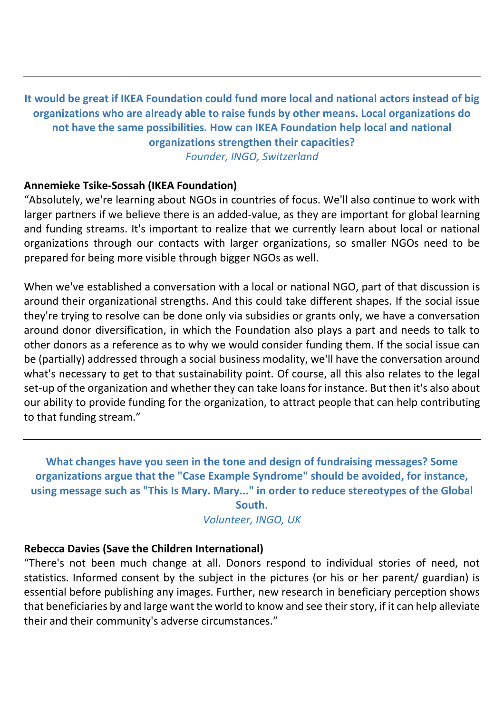**It would be great if IKEA Foundation could fund more local and national actors instead of big organizations who are already able to raise funds by other means. Local organizations do not have the same possibilities. How can IKEA Foundation help local and national organizations strengthen their capacities?** *Founder, INGO, Switzerland*

#### **Annemieke Tsike-Sossah (IKEA Foundation)**

"Absolutely, we're learning about NGOs in countries of focus. We'll also continue to work with larger partners if we believe there is an added-value, as they are important for global learning and funding streams. It's important to realize that we currently learn about local or national organizations through our contacts with larger organizations, so smaller NGOs need to be prepared for being more visible through bigger NGOs as well.

When we've established a conversation with a local or national NGO, part of that discussion is around their organizational strengths. And this could take different shapes. If the social issue they're trying to resolve can be done only via subsidies or grants only, we have a conversation around donor diversification, in which the Foundation also plays a part and needs to talk to other donors as a reference as to why we would consider funding them. If the social issue can be (partially) addressed through a social business modality, we'll have the conversation around what's necessary to get to that sustainability point. Of course, all this also relates to the legal set-up of the organization and whether they can take loans for instance. But then it's also about our ability to provide funding for the organization, to attract people that can help contributing to that funding stream."

**What changes have you seen in the tone and design of fundraising messages? Some organizations argue that the "Case Example Syndrome" should be avoided, for instance, using message such as "This Is Mary. Mary..." in order to reduce stereotypes of the Global** 

**South.** *Volunteer, INGO, UK*

#### **Rebecca Davies (Save the Children International)**

"There's not been much change at all. Donors respond to individual stories of need, not statistics. Informed consent by the subject in the pictures (or his or her parent/ guardian) is essential before publishing any images. Further, new research in beneficiary perception shows that beneficiaries by and large want the world to know and see their story, if it can help alleviate their and their community's adverse circumstances."